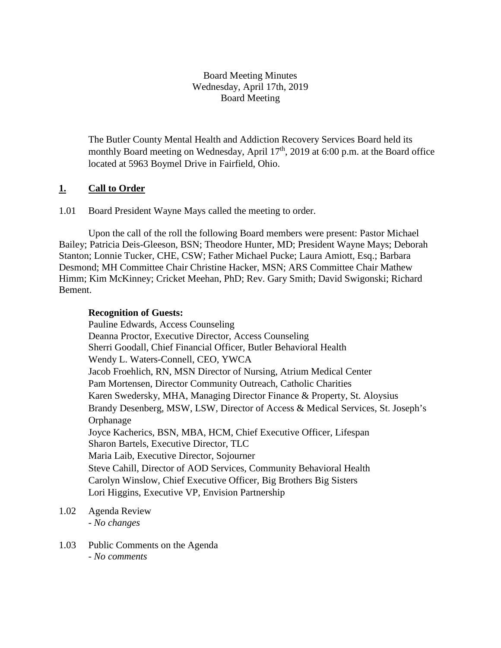### Board Meeting Minutes Wednesday, April 17th, 2019 Board Meeting

The Butler County Mental Health and Addiction Recovery Services Board held its monthly Board meeting on Wednesday, April 17<sup>th</sup>, 2019 at 6:00 p.m. at the Board office located at 5963 Boymel Drive in Fairfield, Ohio.

# **1. Call to Order**

1.01 Board President Wayne Mays called the meeting to order.

Upon the call of the roll the following Board members were present: Pastor Michael Bailey; Patricia Deis-Gleeson, BSN; Theodore Hunter, MD; President Wayne Mays; Deborah Stanton; Lonnie Tucker, CHE, CSW; Father Michael Pucke; Laura Amiott, Esq.; Barbara Desmond; MH Committee Chair Christine Hacker, MSN; ARS Committee Chair Mathew Himm; Kim McKinney; Cricket Meehan, PhD; Rev. Gary Smith; David Swigonski; Richard Bement.

#### **Recognition of Guests:**

Pauline Edwards, Access Counseling Deanna Proctor, Executive Director, Access Counseling Sherri Goodall, Chief Financial Officer, Butler Behavioral Health Wendy L. Waters-Connell, CEO, YWCA Jacob Froehlich, RN, MSN Director of Nursing, Atrium Medical Center Pam Mortensen, Director Community Outreach, Catholic Charities Karen Swedersky, MHA, Managing Director Finance & Property, St. Aloysius Brandy Desenberg, MSW, LSW, Director of Access & Medical Services, St. Joseph's Orphanage Joyce Kacherics, BSN, MBA, HCM, Chief Executive Officer, Lifespan Sharon Bartels, Executive Director, TLC Maria Laib, Executive Director, Sojourner Steve Cahill, Director of AOD Services, Community Behavioral Health Carolyn Winslow, Chief Executive Officer, Big Brothers Big Sisters Lori Higgins, Executive VP, Envision Partnership

- 1.02 Agenda Review *- No changes*
- 1.03 Public Comments on the Agenda - *No comments*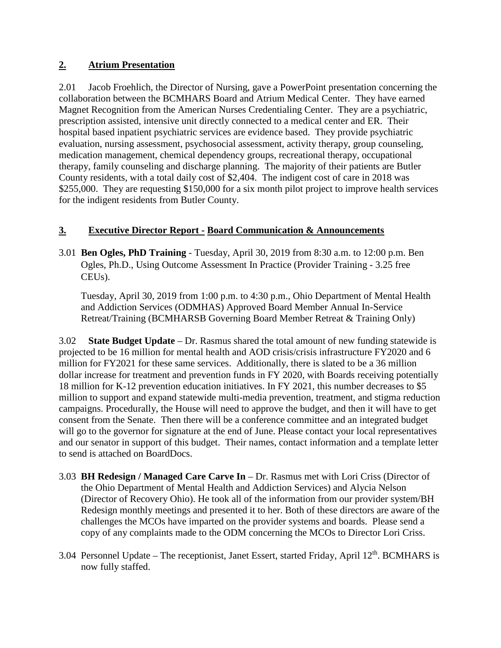# **2. Atrium Presentation**

2.01 Jacob Froehlich, the Director of Nursing, gave a PowerPoint presentation concerning the collaboration between the BCMHARS Board and Atrium Medical Center. They have earned Magnet Recognition from the American Nurses Credentialing Center. They are a psychiatric, prescription assisted, intensive unit directly connected to a medical center and ER. Their hospital based inpatient psychiatric services are evidence based. They provide psychiatric evaluation, nursing assessment, psychosocial assessment, activity therapy, group counseling, medication management, chemical dependency groups, recreational therapy, occupational therapy, family counseling and discharge planning. The majority of their patients are Butler County residents, with a total daily cost of \$2,404. The indigent cost of care in 2018 was \$255,000. They are requesting \$150,000 for a six month pilot project to improve health services for the indigent residents from Butler County.

# **3. Executive Director Report - Board Communication & Announcements**

3.01 **Ben Ogles, PhD Training** - Tuesday, April 30, 2019 from 8:30 a.m. to 12:00 p.m. Ben Ogles, Ph.D., Using Outcome Assessment In Practice (Provider Training - 3.25 free CEUs).

Tuesday, April 30, 2019 from 1:00 p.m. to 4:30 p.m., Ohio Department of Mental Health and Addiction Services (ODMHAS) Approved Board Member Annual In-Service Retreat/Training (BCMHARSB Governing Board Member Retreat & Training Only)

3.02 **State Budget Update** – Dr. Rasmus shared the total amount of new funding statewide is projected to be 16 million for mental health and AOD crisis/crisis infrastructure FY2020 and 6 million for FY2021 for these same services. Additionally, there is slated to be a 36 million dollar increase for treatment and prevention funds in FY 2020, with Boards receiving potentially 18 million for K-12 prevention education initiatives. In FY 2021, this number decreases to \$5 million to support and expand statewide multi-media prevention, treatment, and stigma reduction campaigns. Procedurally, the House will need to approve the budget, and then it will have to get consent from the Senate. Then there will be a conference committee and an integrated budget will go to the governor for signature at the end of June. Please contact your local representatives and our senator in support of this budget. Their names, contact information and a template letter to send is attached on BoardDocs.

- 3.03 **BH Redesign / Managed Care Carve In** Dr. Rasmus met with Lori Criss (Director of the Ohio Department of Mental Health and Addiction Services) and Alycia Nelson (Director of Recovery Ohio). He took all of the information from our provider system/BH Redesign monthly meetings and presented it to her. Both of these directors are aware of the challenges the MCOs have imparted on the provider systems and boards. Please send a copy of any complaints made to the ODM concerning the MCOs to Director Lori Criss.
- 3.04 Personnel Update The receptionist, Janet Essert, started Friday, April  $12<sup>th</sup>$ . BCMHARS is now fully staffed.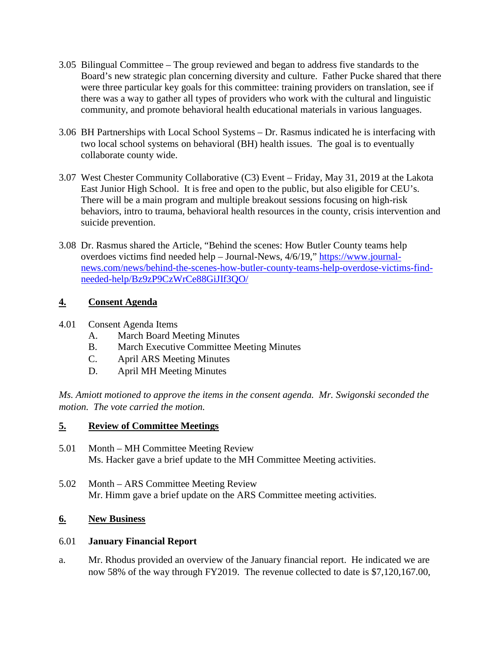- 3.05 Bilingual Committee The group reviewed and began to address five standards to the Board's new strategic plan concerning diversity and culture. Father Pucke shared that there were three particular key goals for this committee: training providers on translation, see if there was a way to gather all types of providers who work with the cultural and linguistic community, and promote behavioral health educational materials in various languages.
- 3.06 BH Partnerships with Local School Systems Dr. Rasmus indicated he is interfacing with two local school systems on behavioral (BH) health issues. The goal is to eventually collaborate county wide.
- 3.07 West Chester Community Collaborative (C3) Event Friday, May 31, 2019 at the Lakota East Junior High School. It is free and open to the public, but also eligible for CEU's. There will be a main program and multiple breakout sessions focusing on high-risk behaviors, intro to trauma, behavioral health resources in the county, crisis intervention and suicide prevention.
- 3.08 Dr. Rasmus shared the Article, "Behind the scenes: How Butler County teams help overdoes victims find needed help – Journal-News, 4/6/19," [https://www.journal](https://www.journal-news.com/news/behind-the-scenes-how-butler-county-teams-help-overdose-victims-find-needed-help/Bz9zP9CzWrCe88GiJIf3QO/)[news.com/news/behind-the-scenes-how-butler-county-teams-help-overdose-victims-find](https://www.journal-news.com/news/behind-the-scenes-how-butler-county-teams-help-overdose-victims-find-needed-help/Bz9zP9CzWrCe88GiJIf3QO/)[needed-help/Bz9zP9CzWrCe88GiJIf3QO/](https://www.journal-news.com/news/behind-the-scenes-how-butler-county-teams-help-overdose-victims-find-needed-help/Bz9zP9CzWrCe88GiJIf3QO/)

### **4. Consent Agenda**

- 4.01 Consent Agenda Items
	- A. March Board Meeting Minutes
	- B. March Executive Committee Meeting Minutes
	- C. April ARS Meeting Minutes
	- D. April MH Meeting Minutes

*Ms. Amiott motioned to approve the items in the consent agenda. Mr. Swigonski seconded the motion. The vote carried the motion.*

### **5. Review of Committee Meetings**

- 5.01 Month MH Committee Meeting Review Ms. Hacker gave a brief update to the MH Committee Meeting activities.
- 5.02 Month ARS Committee Meeting Review Mr. Himm gave a brief update on the ARS Committee meeting activities.

### **6. New Business**

### 6.01 **January Financial Report**

a. Mr. Rhodus provided an overview of the January financial report. He indicated we are now 58% of the way through FY2019. The revenue collected to date is \$7,120,167.00,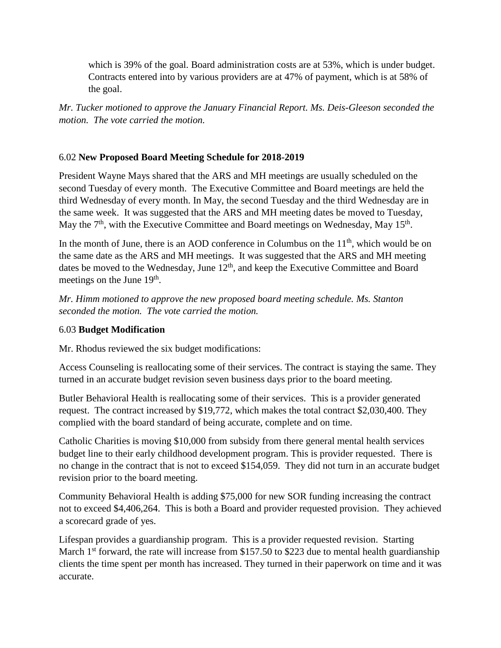which is 39% of the goal. Board administration costs are at 53%, which is under budget. Contracts entered into by various providers are at 47% of payment, which is at 58% of the goal.

*Mr. Tucker motioned to approve the January Financial Report. Ms. Deis-Gleeson seconded the motion. The vote carried the motion.*

### 6.02 **New Proposed Board Meeting Schedule for 2018-2019**

President Wayne Mays shared that the ARS and MH meetings are usually scheduled on the second Tuesday of every month. The Executive Committee and Board meetings are held the third Wednesday of every month. In May, the second Tuesday and the third Wednesday are in the same week. It was suggested that the ARS and MH meeting dates be moved to Tuesday, May the  $7<sup>th</sup>$ , with the Executive Committee and Board meetings on Wednesday, May 15<sup>th</sup>.

In the month of June, there is an AOD conference in Columbus on the  $11<sup>th</sup>$ , which would be on the same date as the ARS and MH meetings. It was suggested that the ARS and MH meeting dates be moved to the Wednesday, June 12<sup>th</sup>, and keep the Executive Committee and Board meetings on the June  $19<sup>th</sup>$ .

*Mr. Himm motioned to approve the new proposed board meeting schedule. Ms. Stanton seconded the motion. The vote carried the motion.*

### 6.03 **Budget Modification**

Mr. Rhodus reviewed the six budget modifications:

Access Counseling is reallocating some of their services. The contract is staying the same. They turned in an accurate budget revision seven business days prior to the board meeting.

Butler Behavioral Health is reallocating some of their services. This is a provider generated request. The contract increased by \$19,772, which makes the total contract \$2,030,400. They complied with the board standard of being accurate, complete and on time.

Catholic Charities is moving \$10,000 from subsidy from there general mental health services budget line to their early childhood development program. This is provider requested. There is no change in the contract that is not to exceed \$154,059. They did not turn in an accurate budget revision prior to the board meeting.

Community Behavioral Health is adding \$75,000 for new SOR funding increasing the contract not to exceed \$4,406,264. This is both a Board and provider requested provision. They achieved a scorecard grade of yes.

Lifespan provides a guardianship program. This is a provider requested revision. Starting March  $1<sup>st</sup>$  forward, the rate will increase from \$157.50 to \$223 due to mental health guardianship clients the time spent per month has increased. They turned in their paperwork on time and it was accurate.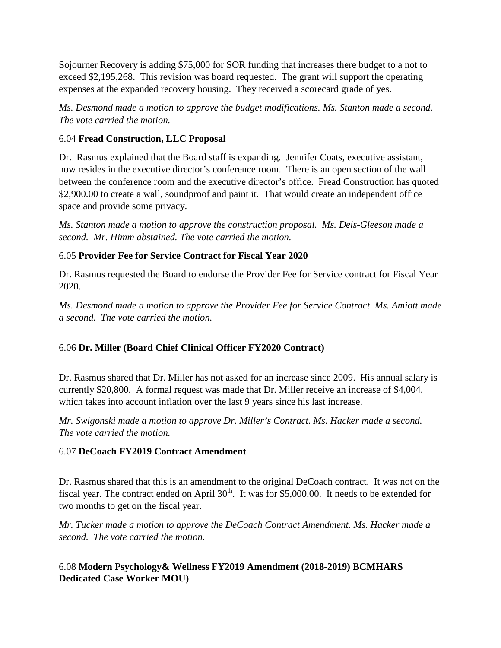Sojourner Recovery is adding \$75,000 for SOR funding that increases there budget to a not to exceed \$2,195,268. This revision was board requested. The grant will support the operating expenses at the expanded recovery housing. They received a scorecard grade of yes.

*Ms. Desmond made a motion to approve the budget modifications. Ms. Stanton made a second. The vote carried the motion.*

### 6.04 **Fread Construction, LLC Proposal**

Dr. Rasmus explained that the Board staff is expanding. Jennifer Coats, executive assistant, now resides in the executive director's conference room. There is an open section of the wall between the conference room and the executive director's office. Fread Construction has quoted \$2,900.00 to create a wall, soundproof and paint it. That would create an independent office space and provide some privacy.

*Ms. Stanton made a motion to approve the construction proposal. Ms. Deis-Gleeson made a second. Mr. Himm abstained. The vote carried the motion.* 

### 6.05 **Provider Fee for Service Contract for Fiscal Year 2020**

Dr. Rasmus requested the Board to endorse the Provider Fee for Service contract for Fiscal Year 2020.

*Ms. Desmond made a motion to approve the Provider Fee for Service Contract. Ms. Amiott made a second. The vote carried the motion.* 

# 6.06 **Dr. Miller (Board Chief Clinical Officer FY2020 Contract)**

Dr. Rasmus shared that Dr. Miller has not asked for an increase since 2009. His annual salary is currently \$20,800. A formal request was made that Dr. Miller receive an increase of \$4,004, which takes into account inflation over the last 9 years since his last increase.

*Mr. Swigonski made a motion to approve Dr. Miller's Contract. Ms. Hacker made a second. The vote carried the motion.* 

### 6.07 **DeCoach FY2019 Contract Amendment**

Dr. Rasmus shared that this is an amendment to the original DeCoach contract. It was not on the fiscal year. The contract ended on April  $30<sup>th</sup>$ . It was for \$5,000.00. It needs to be extended for two months to get on the fiscal year.

*Mr. Tucker made a motion to approve the DeCoach Contract Amendment. Ms. Hacker made a second. The vote carried the motion.* 

# 6.08 **Modern Psychology& Wellness FY2019 Amendment (2018-2019) BCMHARS Dedicated Case Worker MOU)**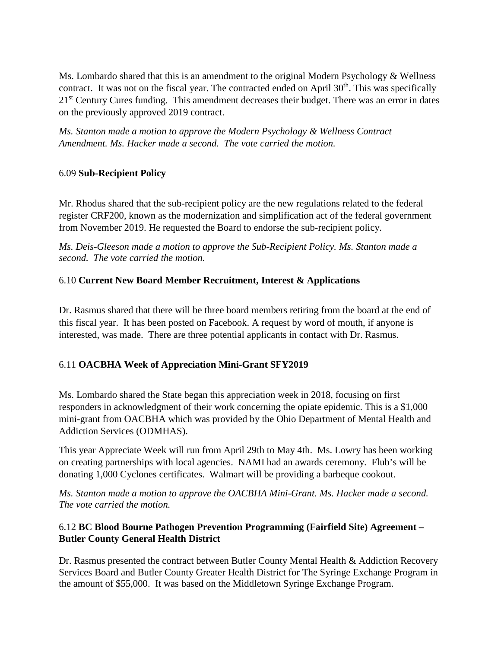Ms. Lombardo shared that this is an amendment to the original Modern Psychology & Wellness contract. It was not on the fiscal year. The contracted ended on April  $30<sup>th</sup>$ . This was specifically 21<sup>st</sup> Century Cures funding. This amendment decreases their budget. There was an error in dates on the previously approved 2019 contract.

*Ms. Stanton made a motion to approve the Modern Psychology & Wellness Contract Amendment. Ms. Hacker made a second. The vote carried the motion.* 

### 6.09 **Sub-Recipient Policy**

Mr. Rhodus shared that the sub-recipient policy are the new regulations related to the federal register CRF200, known as the modernization and simplification act of the federal government from November 2019. He requested the Board to endorse the sub-recipient policy.

*Ms. Deis-Gleeson made a motion to approve the Sub-Recipient Policy. Ms. Stanton made a second. The vote carried the motion.*

# 6.10 **Current New Board Member Recruitment, Interest & Applications**

Dr. Rasmus shared that there will be three board members retiring from the board at the end of this fiscal year. It has been posted on Facebook. A request by word of mouth, if anyone is interested, was made. There are three potential applicants in contact with Dr. Rasmus.

# 6.11 **OACBHA Week of Appreciation Mini-Grant SFY2019**

Ms. Lombardo shared the State began this appreciation week in 2018, focusing on first responders in acknowledgment of their work concerning the opiate epidemic. This is a \$1,000 mini-grant from OACBHA which was provided by the Ohio Department of Mental Health and Addiction Services (ODMHAS).

This year Appreciate Week will run from April 29th to May 4th. Ms. Lowry has been working on creating partnerships with local agencies. NAMI had an awards ceremony. Flub's will be donating 1,000 Cyclones certificates. Walmart will be providing a barbeque cookout.

*Ms. Stanton made a motion to approve the OACBHA Mini-Grant. Ms. Hacker made a second. The vote carried the motion.*

### 6.12 **BC Blood Bourne Pathogen Prevention Programming (Fairfield Site) Agreement – Butler County General Health District**

Dr. Rasmus presented the contract between Butler County Mental Health & Addiction Recovery Services Board and Butler County Greater Health District for The Syringe Exchange Program in the amount of \$55,000. It was based on the Middletown Syringe Exchange Program.